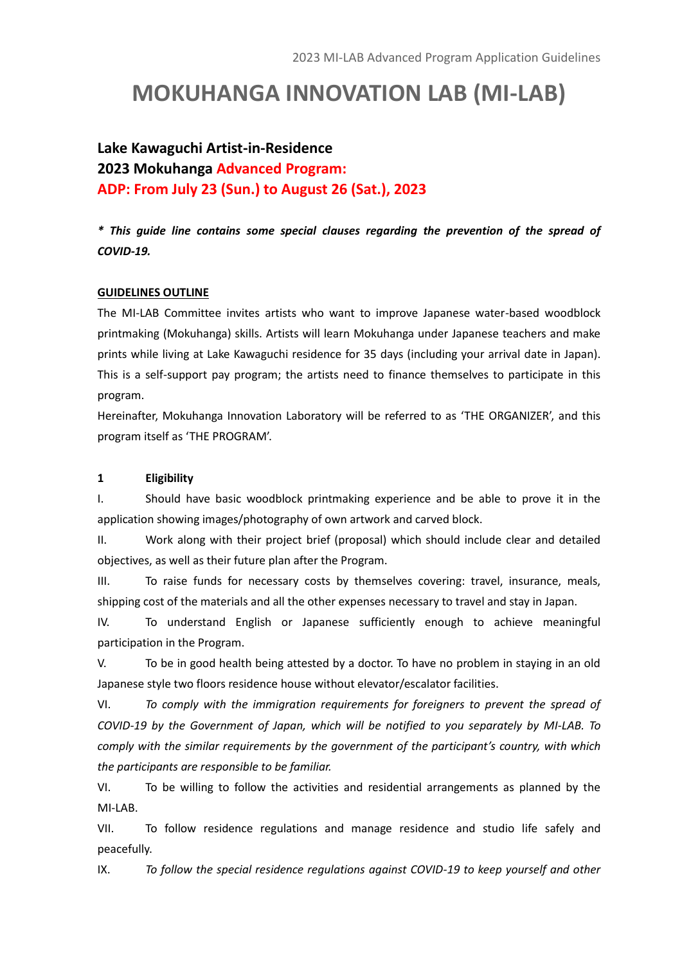## **MOKUHANGA INNOVATION LAB (MI-LAB)**

### **Lake Kawaguchi Artist-in-Residence 2023 Mokuhanga Advanced Program: ADP: From July 23 (Sun.) to August 26 (Sat.), 2023**

*\* This guide line contains some special clauses regarding the prevention of the spread of COVID-19.*

#### **GUIDELINES OUTLINE**

The MI-LAB Committee invites artists who want to improve Japanese water-based woodblock printmaking (Mokuhanga) skills. Artists will learn Mokuhanga under Japanese teachers and make prints while living at Lake Kawaguchi residence for 35 days (including your arrival date in Japan). This is a self-support pay program; the artists need to finance themselves to participate in this program.

Hereinafter, Mokuhanga Innovation Laboratory will be referred to as 'THE ORGANIZER', and this program itself as 'THE PROGRAM'.

#### **1 Eligibility**

I. Should have basic woodblock printmaking experience and be able to prove it in the application showing images/photography of own artwork and carved block.

II. Work along with their project brief (proposal) which should include clear and detailed objectives, as well as their future plan after the Program.

III. To raise funds for necessary costs by themselves covering: travel, insurance, meals, shipping cost of the materials and all the other expenses necessary to travel and stay in Japan.

IV. To understand English or Japanese sufficiently enough to achieve meaningful participation in the Program.

V. To be in good health being attested by a doctor. To have no problem in staying in an old Japanese style two floors residence house without elevator/escalator facilities.

VI. *To comply with the immigration requirements for foreigners to prevent the spread of COVID-19 by the Government of Japan, which will be notified to you separately by MI-LAB. To comply with the similar requirements by the government of the participant's country, with which the participants are responsible to be familiar.*

VI. To be willing to follow the activities and residential arrangements as planned by the MI-LAB.

VII. To follow residence regulations and manage residence and studio life safely and peacefully.

IX. *To follow the special residence regulations against COVID-19 to keep yourself and other*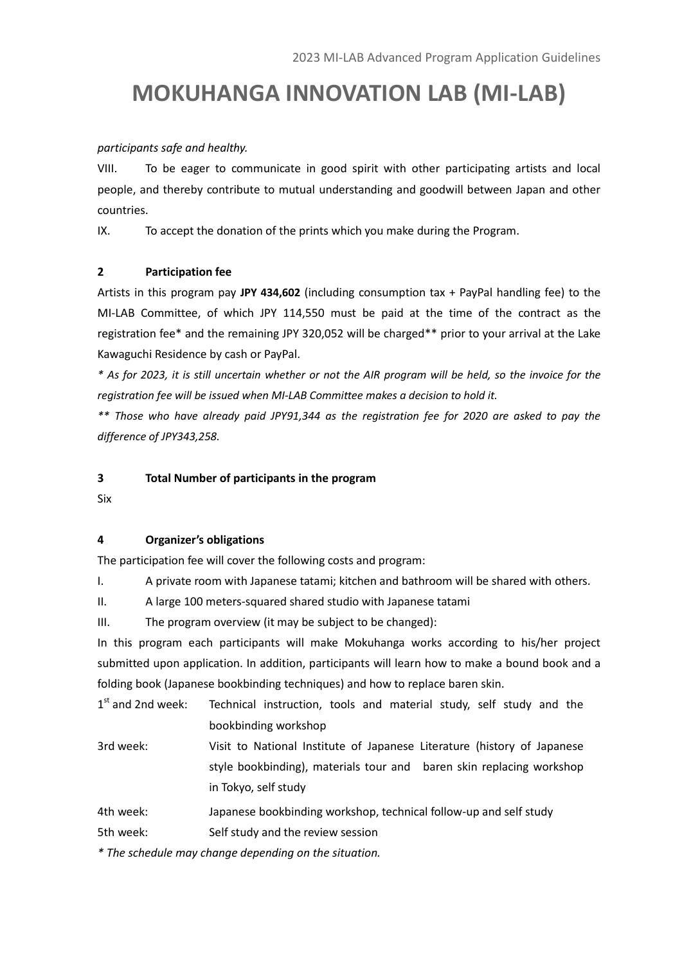# **MOKUHANGA INNOVATION LAB (MI-LAB)**

#### *participants safe and healthy.*

VIII. To be eager to communicate in good spirit with other participating artists and local people, and thereby contribute to mutual understanding and goodwill between Japan and other countries.

IX. To accept the donation of the prints which you make during the Program.

#### **2 Participation fee**

Artists in this program pay **JPY 434,602** (including consumption tax + PayPal handling fee) to the MI-LAB Committee, of which JPY 114,550 must be paid at the time of the contract as the registration fee\* and the remaining JPY 320,052 will be charged\*\* prior to your arrival at the Lake Kawaguchi Residence by cash or PayPal.

*\* As for 2023, it is still uncertain whether or not the AIR program will be held, so the invoice for the registration fee will be issued when MI-LAB Committee makes a decision to hold it.* 

*\*\* Those who have already paid JPY91,344 as the registration fee for 2020 are asked to pay the difference of JPY343,258.*

#### **3 Total Number of participants in the program**

Six

#### **4 Organizer's obligations**

The participation fee will cover the following costs and program:

I. A private room with Japanese tatami; kitchen and bathroom will be shared with others.

II. A large 100 meters-squared shared studio with Japanese tatami

III. The program overview (it may be subject to be changed):

In this program each participants will make Mokuhanga works according to his/her project submitted upon application. In addition, participants will learn how to make a bound book and a folding book (Japanese bookbinding techniques) and how to replace baren skin.

 $1<sup>st</sup>$  and 2nd week: Technical instruction, tools and material study, self study and the bookbinding workshop

- 3rd week: Visit to National Institute of Japanese Literature (history of Japanese style bookbinding), materials tour and baren skin replacing workshop in Tokyo, self study
- 4th week: Japanese bookbinding workshop, technical follow-up and self study 5th week: Self study and the review session

*\* The schedule may change depending on the situation.*